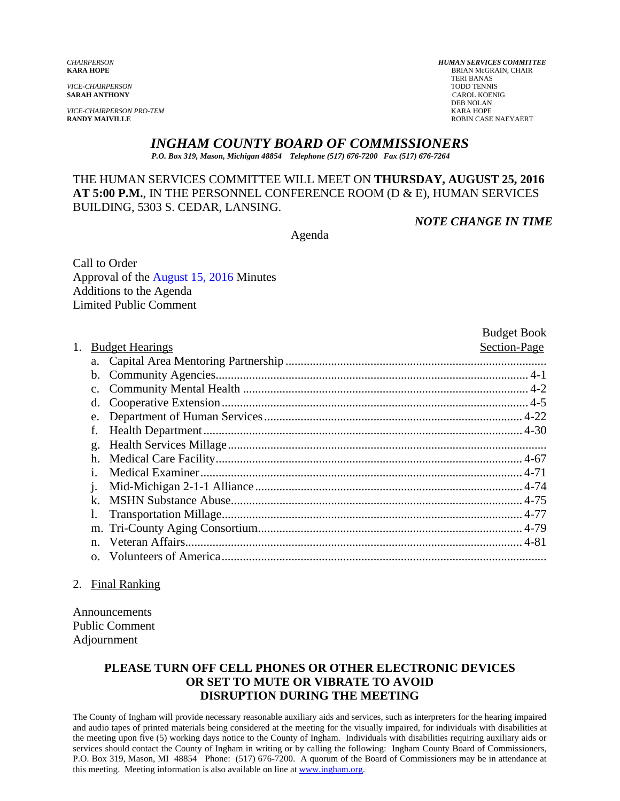*VICE-CHAIRPERSON PRO-TEM* KARA HOPE

*CHAIRPERSON HUMAN SERVICES COMMITTEE* **BRIAN McGRAIN, CHAIR** TERI BANAS<br>TODD TENNIS *VICE-CHAIRPERSON* TODD TENNIS **SARAH ANTHONY** CAROL KOENIG DEB NOLAN **ROBIN CASE NAEYAERT** 

# *INGHAM COUNTY BOARD OF COMMISSIONERS*

*P.O. Box 319, Mason, Michigan 48854 Telephone (517) 676-7200 Fax (517) 676-7264*

# THE HUMAN SERVICES COMMITTEE WILL MEET ON **THURSDAY, AUGUST 25, 2016 AT 5:00 P.M.**, IN THE PERSONNEL CONFERENCE ROOM (D & E), HUMAN SERVICES BUILDING, 5303 S. CEDAR, LANSING.

*NOTE CHANGE IN TIME* 

Agenda

Call to Order Approval of [the August 15, 2016 Minutes](#page-1-0)  Additions to the Agenda Limited Public Comment

|    |                        |  | <b>Budget Book</b> |
|----|------------------------|--|--------------------|
| 1. | <b>Budget Hearings</b> |  | Section-Page       |
|    |                        |  |                    |
|    | $\mathbf{b}$ .         |  |                    |
|    | $\mathbf{c}$ .         |  |                    |
|    | d.                     |  |                    |
|    | e.                     |  |                    |
|    | f.                     |  |                    |
|    | g.                     |  |                    |
|    | h.                     |  |                    |
|    | Ť.                     |  |                    |
|    | 1.                     |  |                    |
|    | k.                     |  |                    |
|    |                        |  |                    |
|    |                        |  |                    |
|    | $n_{-}$                |  |                    |
|    | $\Omega$ .             |  |                    |

#### 2. Final Ranking

Announcements Public Comment Adjournment

## **PLEASE TURN OFF CELL PHONES OR OTHER ELECTRONIC DEVICES OR SET TO MUTE OR VIBRATE TO AVOID DISRUPTION DURING THE MEETING**

The County of Ingham will provide necessary reasonable auxiliary aids and services, such as interpreters for the hearing impaired and audio tapes of printed materials being considered at the meeting for the visually impaired, for individuals with disabilities at the meeting upon five (5) working days notice to the County of Ingham. Individuals with disabilities requiring auxiliary aids or services should contact the County of Ingham in writing or by calling the following: Ingham County Board of Commissioners, P.O. Box 319, Mason, MI 48854 Phone: (517) 676-7200. A quorum of the Board of Commissioners may be in attendance at this meeting. Meeting information is also available on line at www.ingham.org.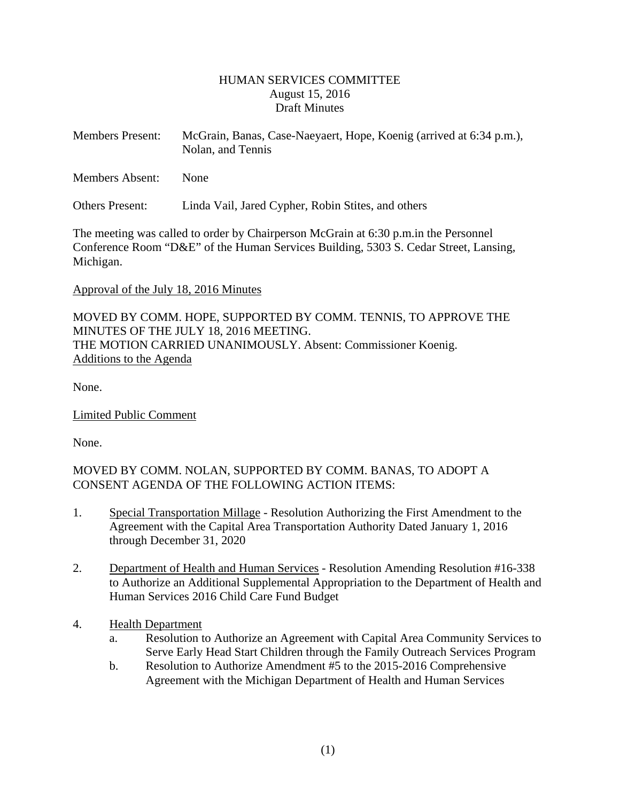## HUMAN SERVICES COMMITTEE August 15, 2016 Draft Minutes

<span id="page-1-0"></span>

| <b>Members Present:</b> | McGrain, Banas, Case-Naeyaert, Hope, Koenig (arrived at 6:34 p.m.),<br>Nolan, and Tennis |
|-------------------------|------------------------------------------------------------------------------------------|
| <b>Members Absent:</b>  | <b>None</b>                                                                              |

Others Present: Linda Vail, Jared Cypher, Robin Stites, and others

The meeting was called to order by Chairperson McGrain at 6:30 p.m.in the Personnel Conference Room "D&E" of the Human Services Building, 5303 S. Cedar Street, Lansing, Michigan.

#### Approval of the July 18, 2016 Minutes

MOVED BY COMM. HOPE, SUPPORTED BY COMM. TENNIS, TO APPROVE THE MINUTES OF THE JULY 18, 2016 MEETING. THE MOTION CARRIED UNANIMOUSLY. Absent: Commissioner Koenig. Additions to the Agenda

None.

Limited Public Comment

None.

MOVED BY COMM. NOLAN, SUPPORTED BY COMM. BANAS, TO ADOPT A CONSENT AGENDA OF THE FOLLOWING ACTION ITEMS:

- 1. Special Transportation Millage Resolution Authorizing the First Amendment to the Agreement with the Capital Area Transportation Authority Dated January 1, 2016 through December 31, 2020
- 2. Department of Health and Human Services Resolution Amending Resolution #16-338 to Authorize an Additional Supplemental Appropriation to the Department of Health and Human Services 2016 Child Care Fund Budget
- 4. Health Department
	- a. Resolution to Authorize an Agreement with Capital Area Community Services to Serve Early Head Start Children through the Family Outreach Services Program
	- b. Resolution to Authorize Amendment #5 to the 2015-2016 Comprehensive Agreement with the Michigan Department of Health and Human Services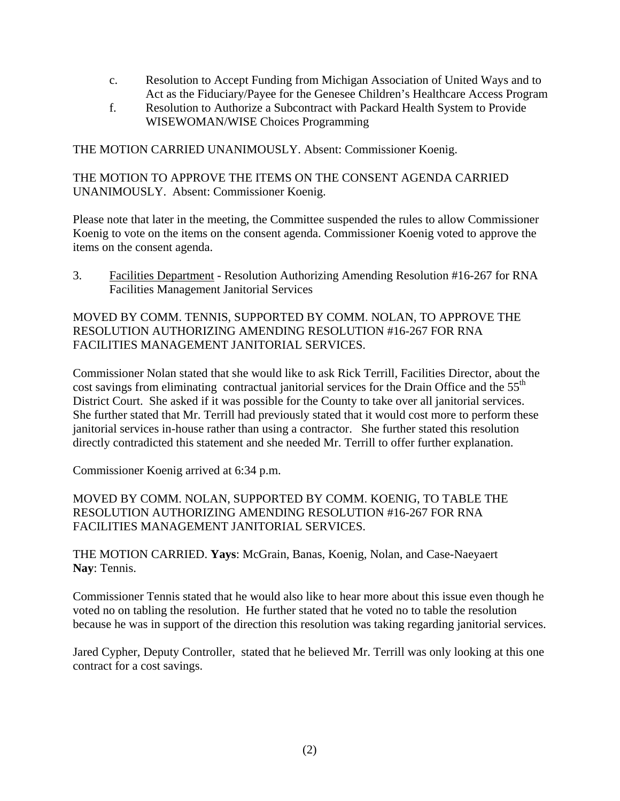- c. Resolution to Accept Funding from Michigan Association of United Ways and to Act as the Fiduciary/Payee for the Genesee Children's Healthcare Access Program
- f. Resolution to Authorize a Subcontract with Packard Health System to Provide WISEWOMAN/WISE Choices Programming

THE MOTION CARRIED UNANIMOUSLY. Absent: Commissioner Koenig.

THE MOTION TO APPROVE THE ITEMS ON THE CONSENT AGENDA CARRIED UNANIMOUSLY. Absent: Commissioner Koenig.

Please note that later in the meeting, the Committee suspended the rules to allow Commissioner Koenig to vote on the items on the consent agenda. Commissioner Koenig voted to approve the items on the consent agenda.

3. Facilities Department - Resolution Authorizing Amending Resolution #16-267 for RNA Facilities Management Janitorial Services

MOVED BY COMM. TENNIS, SUPPORTED BY COMM. NOLAN, TO APPROVE THE RESOLUTION AUTHORIZING AMENDING RESOLUTION #16-267 FOR RNA FACILITIES MANAGEMENT JANITORIAL SERVICES.

Commissioner Nolan stated that she would like to ask Rick Terrill, Facilities Director, about the cost savings from eliminating contractual janitorial services for the Drain Office and the 55<sup>th</sup> District Court. She asked if it was possible for the County to take over all janitorial services. She further stated that Mr. Terrill had previously stated that it would cost more to perform these janitorial services in-house rather than using a contractor. She further stated this resolution directly contradicted this statement and she needed Mr. Terrill to offer further explanation.

Commissioner Koenig arrived at 6:34 p.m.

# MOVED BY COMM. NOLAN, SUPPORTED BY COMM. KOENIG, TO TABLE THE RESOLUTION AUTHORIZING AMENDING RESOLUTION #16-267 FOR RNA FACILITIES MANAGEMENT JANITORIAL SERVICES.

THE MOTION CARRIED. **Yays**: McGrain, Banas, Koenig, Nolan, and Case-Naeyaert **Nay**: Tennis.

Commissioner Tennis stated that he would also like to hear more about this issue even though he voted no on tabling the resolution. He further stated that he voted no to table the resolution because he was in support of the direction this resolution was taking regarding janitorial services.

Jared Cypher, Deputy Controller, stated that he believed Mr. Terrill was only looking at this one contract for a cost savings.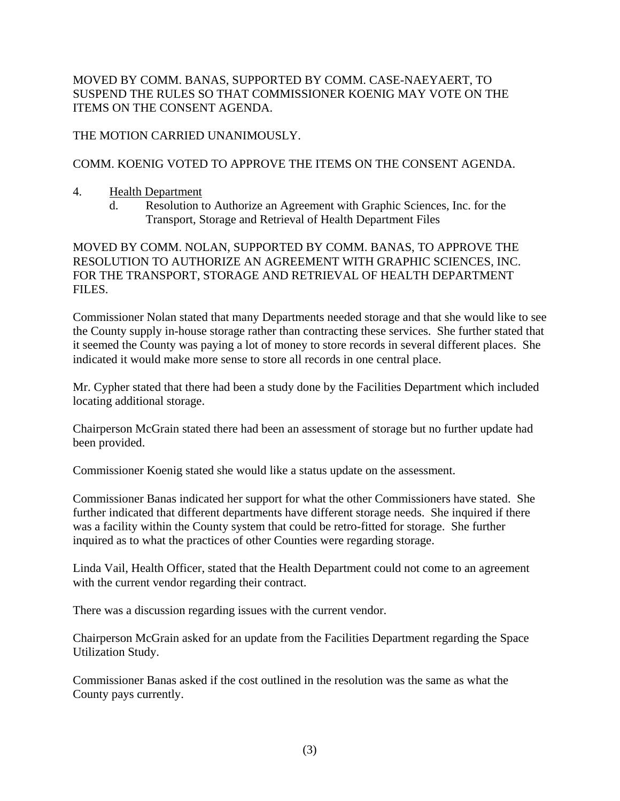MOVED BY COMM. BANAS, SUPPORTED BY COMM. CASE-NAEYAERT, TO SUSPEND THE RULES SO THAT COMMISSIONER KOENIG MAY VOTE ON THE ITEMS ON THE CONSENT AGENDA.

THE MOTION CARRIED UNANIMOUSLY.

# COMM. KOENIG VOTED TO APPROVE THE ITEMS ON THE CONSENT AGENDA.

- 4. Health Department
	- d. Resolution to Authorize an Agreement with Graphic Sciences, Inc. for the Transport, Storage and Retrieval of Health Department Files

MOVED BY COMM. NOLAN, SUPPORTED BY COMM. BANAS, TO APPROVE THE RESOLUTION TO AUTHORIZE AN AGREEMENT WITH GRAPHIC SCIENCES, INC. FOR THE TRANSPORT, STORAGE AND RETRIEVAL OF HEALTH DEPARTMENT FILES.

Commissioner Nolan stated that many Departments needed storage and that she would like to see the County supply in-house storage rather than contracting these services. She further stated that it seemed the County was paying a lot of money to store records in several different places. She indicated it would make more sense to store all records in one central place.

Mr. Cypher stated that there had been a study done by the Facilities Department which included locating additional storage.

Chairperson McGrain stated there had been an assessment of storage but no further update had been provided.

Commissioner Koenig stated she would like a status update on the assessment.

Commissioner Banas indicated her support for what the other Commissioners have stated. She further indicated that different departments have different storage needs. She inquired if there was a facility within the County system that could be retro-fitted for storage. She further inquired as to what the practices of other Counties were regarding storage.

Linda Vail, Health Officer, stated that the Health Department could not come to an agreement with the current vendor regarding their contract.

There was a discussion regarding issues with the current vendor.

Chairperson McGrain asked for an update from the Facilities Department regarding the Space Utilization Study.

Commissioner Banas asked if the cost outlined in the resolution was the same as what the County pays currently.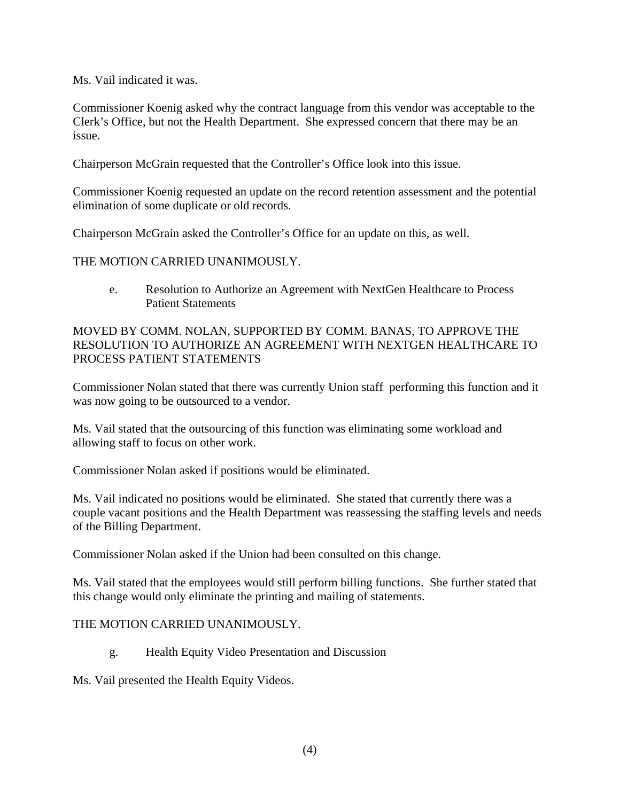Ms. Vail indicated it was.

Commissioner Koenig asked why the contract language from this vendor was acceptable to the Clerk's Office, but not the Health Department. She expressed concern that there may be an issue.

Chairperson McGrain requested that the Controller's Office look into this issue.

Commissioner Koenig requested an update on the record retention assessment and the potential elimination of some duplicate or old records.

Chairperson McGrain asked the Controller's Office for an update on this, as well.

THE MOTION CARRIED UNANIMOUSLY.

e. Resolution to Authorize an Agreement with NextGen Healthcare to Process Patient Statements

MOVED BY COMM. NOLAN, SUPPORTED BY COMM. BANAS, TO APPROVE THE RESOLUTION TO AUTHORIZE AN AGREEMENT WITH NEXTGEN HEALTHCARE TO PROCESS PATIENT STATEMENTS

Commissioner Nolan stated that there was currently Union staff performing this function and it was now going to be outsourced to a vendor.

Ms. Vail stated that the outsourcing of this function was eliminating some workload and allowing staff to focus on other work.

Commissioner Nolan asked if positions would be eliminated.

Ms. Vail indicated no positions would be eliminated. She stated that currently there was a couple vacant positions and the Health Department was reassessing the staffing levels and needs of the Billing Department.

Commissioner Nolan asked if the Union had been consulted on this change.

Ms. Vail stated that the employees would still perform billing functions. She further stated that this change would only eliminate the printing and mailing of statements.

## THE MOTION CARRIED UNANIMOUSLY.

g. Health Equity Video Presentation and Discussion

Ms. Vail presented the Health Equity Videos.